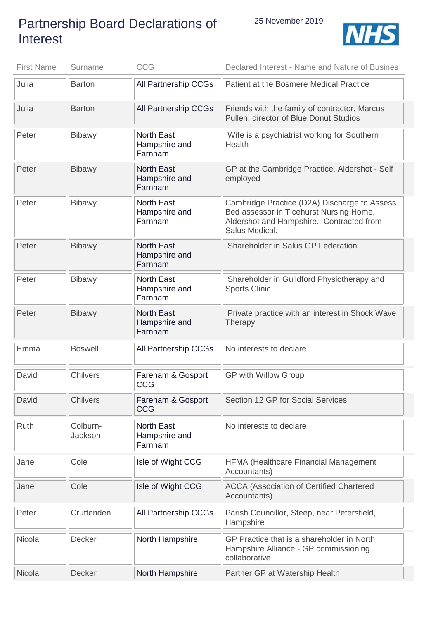## Partnership Board Declarations of Interest



| <b>First Name</b> | Surname             | <b>CCG</b>                                    | Declared Interest - Name and Nature of Busines                                                                                                        |
|-------------------|---------------------|-----------------------------------------------|-------------------------------------------------------------------------------------------------------------------------------------------------------|
| Julia             | <b>Barton</b>       | All Partnership CCGs                          | Patient at the Bosmere Medical Practice                                                                                                               |
| Julia             | <b>Barton</b>       | All Partnership CCGs                          | Friends with the family of contractor, Marcus<br>Pullen, director of Blue Donut Studios                                                               |
| Peter             | <b>Bibawy</b>       | <b>North East</b><br>Hampshire and<br>Farnham | Wife is a psychiatrist working for Southern<br>Health                                                                                                 |
| Peter             | <b>Bibawy</b>       | <b>North East</b><br>Hampshire and<br>Farnham | GP at the Cambridge Practice, Aldershot - Self<br>employed                                                                                            |
| Peter             | <b>Bibawy</b>       | <b>North East</b><br>Hampshire and<br>Farnham | Cambridge Practice (D2A) Discharge to Assess<br>Bed assessor in Ticehurst Nursing Home,<br>Aldershot and Hampshire. Contracted from<br>Salus Medical. |
| Peter             | <b>Bibawy</b>       | <b>North East</b><br>Hampshire and<br>Farnham | Shareholder in Salus GP Federation                                                                                                                    |
| Peter             | <b>Bibawy</b>       | <b>North East</b><br>Hampshire and<br>Farnham | Shareholder in Guildford Physiotherapy and<br><b>Sports Clinic</b>                                                                                    |
| Peter             | <b>Bibawy</b>       | <b>North East</b><br>Hampshire and<br>Farnham | Private practice with an interest in Shock Wave<br>Therapy                                                                                            |
| Emma              | <b>Boswell</b>      | All Partnership CCGs                          | No interests to declare                                                                                                                               |
| David             | Chilvers            | Fareham & Gosport<br><b>CCG</b>               | <b>GP with Willow Group</b>                                                                                                                           |
| David             | <b>Chilvers</b>     | Fareham & Gosport<br><b>CCG</b>               | Section 12 GP for Social Services                                                                                                                     |
| Ruth              | Colburn-<br>Jackson | <b>North East</b><br>Hampshire and<br>Farnham | No interests to declare                                                                                                                               |
| Jane              | Cole                | Isle of Wight CCG                             | <b>HFMA (Healthcare Financial Management</b><br>Accountants)                                                                                          |
| Jane              | Cole                | Isle of Wight CCG                             | <b>ACCA (Association of Certified Chartered</b><br>Accountants)                                                                                       |
| Peter             | Cruttenden          | All Partnership CCGs                          | Parish Councillor, Steep, near Petersfield,<br>Hampshire                                                                                              |
| Nicola            | Decker              | North Hampshire                               | GP Practice that is a shareholder in North<br>Hampshire Alliance - GP commissioning<br>collaborative.                                                 |
| Nicola            | Decker              | North Hampshire                               | Partner GP at Watership Health                                                                                                                        |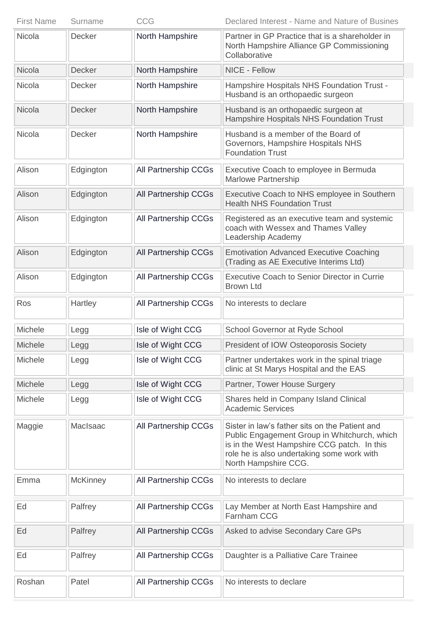| <b>First Name</b> | Surname         | <b>CCG</b>           | Declared Interest - Name and Nature of Busines                                                                                                                                                                      |
|-------------------|-----------------|----------------------|---------------------------------------------------------------------------------------------------------------------------------------------------------------------------------------------------------------------|
| <b>Nicola</b>     | Decker          | North Hampshire      | Partner in GP Practice that is a shareholder in<br>North Hampshire Alliance GP Commissioning<br>Collaborative                                                                                                       |
| Nicola            | <b>Decker</b>   | North Hampshire      | NICE - Fellow                                                                                                                                                                                                       |
| Nicola            | Decker          | North Hampshire      | Hampshire Hospitals NHS Foundation Trust -<br>Husband is an orthopaedic surgeon                                                                                                                                     |
| Nicola            | <b>Decker</b>   | North Hampshire      | Husband is an orthopaedic surgeon at<br>Hampshire Hospitals NHS Foundation Trust                                                                                                                                    |
| Nicola            | Decker          | North Hampshire      | Husband is a member of the Board of<br>Governors, Hampshire Hospitals NHS<br><b>Foundation Trust</b>                                                                                                                |
| Alison            | Edgington       | All Partnership CCGs | Executive Coach to employee in Bermuda<br><b>Marlowe Partnership</b>                                                                                                                                                |
| Alison            | Edgington       | All Partnership CCGs | Executive Coach to NHS employee in Southern<br><b>Health NHS Foundation Trust</b>                                                                                                                                   |
| Alison            | Edgington       | All Partnership CCGs | Registered as an executive team and systemic<br>coach with Wessex and Thames Valley<br>Leadership Academy                                                                                                           |
| Alison            | Edgington       | All Partnership CCGs | <b>Emotivation Advanced Executive Coaching</b><br>(Trading as AE Executive Interims Ltd)                                                                                                                            |
| Alison            | Edgington       | All Partnership CCGs | <b>Executive Coach to Senior Director in Currie</b><br><b>Brown Ltd</b>                                                                                                                                             |
| Ros               | Hartley         | All Partnership CCGs | No interests to declare                                                                                                                                                                                             |
| Michele           | Legg            | Isle of Wight CCG    | School Governor at Ryde School                                                                                                                                                                                      |
| <b>Michele</b>    | Legg            | Isle of Wight CCG    | President of IOW Osteoporosis Society                                                                                                                                                                               |
| <b>Michele</b>    | Legg            | Isle of Wight CCG    | Partner undertakes work in the spinal triage<br>clinic at St Marys Hospital and the EAS                                                                                                                             |
| <b>Michele</b>    | Legg            | Isle of Wight CCG    | Partner, Tower House Surgery                                                                                                                                                                                        |
| Michele           | Legg            | Isle of Wight CCG    | Shares held in Company Island Clinical<br><b>Academic Services</b>                                                                                                                                                  |
| Maggie            | MacIsaac        | All Partnership CCGs | Sister in law's father sits on the Patient and<br>Public Engagement Group in Whitchurch, which<br>is in the West Hampshire CCG patch. In this<br>role he is also undertaking some work with<br>North Hampshire CCG. |
| Emma              | <b>McKinney</b> | All Partnership CCGs | No interests to declare                                                                                                                                                                                             |
| Ed                | Palfrey         | All Partnership CCGs | Lay Member at North East Hampshire and<br><b>Farnham CCG</b>                                                                                                                                                        |
| Ed                | Palfrey         | All Partnership CCGs | Asked to advise Secondary Care GPs                                                                                                                                                                                  |
| Ed                | Palfrey         | All Partnership CCGs | Daughter is a Palliative Care Trainee                                                                                                                                                                               |
| Roshan            | Patel           | All Partnership CCGs | No interests to declare                                                                                                                                                                                             |